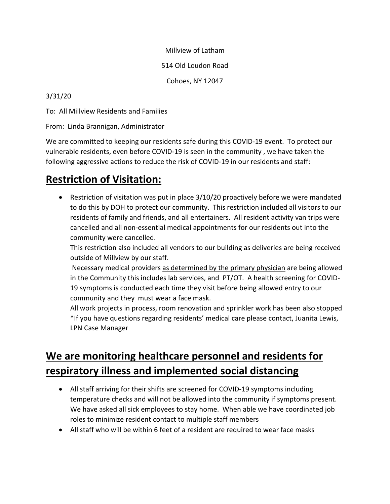Millview of Latham

514 Old Loudon Road

Cohoes, NY 12047

#### 3/31/20

To: All Millview Residents and Families

From: Linda Brannigan, Administrator

We are committed to keeping our residents safe during this COVID-19 event. To protect our vulnerable residents, even before COVID-19 is seen in the community , we have taken the following aggressive actions to reduce the risk of COVID-19 in our residents and staff:

### **Restriction of Visitation:**

• Restriction of visitation was put in place 3/10/20 proactively before we were mandated to do this by DOH to protect our community. This restriction included all visitors to our residents of family and friends, and all entertainers. All resident activity van trips were cancelled and all non-essential medical appointments for our residents out into the community were cancelled.

This restriction also included all vendors to our building as deliveries are being received outside of Millview by our staff.

Necessary medical providers as determined by the primary physician are being allowed in the Community this includes lab services, and PT/OT. A health screening for COVID-19 symptoms is conducted each time they visit before being allowed entry to our community and they must wear a face mask.

All work projects in process, room renovation and sprinkler work has been also stopped \*If you have questions regarding residents' medical care please contact, Juanita Lewis, LPN Case Manager

# **We are monitoring healthcare personnel and residents for respiratory illness and implemented social distancing**

- All staff arriving for their shifts are screened for COVID-19 symptoms including temperature checks and will not be allowed into the community if symptoms present. We have asked all sick employees to stay home. When able we have coordinated job roles to minimize resident contact to multiple staff members
- All staff who will be within 6 feet of a resident are required to wear face masks